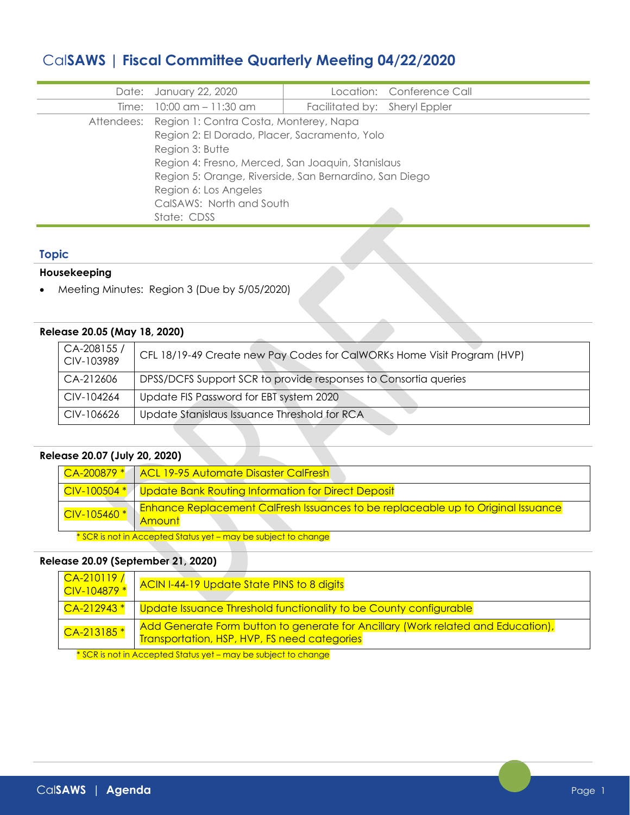# Cal**SAWS | Fiscal Committee Quarterly Meeting 04/22/2020**

|                                                        |                               | Location: Conference Call |
|--------------------------------------------------------|-------------------------------|---------------------------|
| Date: January 22, 2020                                 |                               |                           |
| Time: 10:00 am - 11:30 am                              | Facilitated by: Sheryl Eppler |                           |
| Attendees: Region 1: Contra Costa, Monterey, Napa      |                               |                           |
| Region 2: El Dorado, Placer, Sacramento, Yolo          |                               |                           |
| Region 3: Butte                                        |                               |                           |
| Region 4: Fresno, Merced, San Joaquin, Stanislaus      |                               |                           |
| Region 5: Orange, Riverside, San Bernardino, San Diego |                               |                           |
| Region 6: Los Angeles                                  |                               |                           |
| CalSAWS: North and South                               |                               |                           |
| State: CDSS                                            |                               |                           |

## **Topic**

## **Housekeeping**

• Meeting Minutes: Region 3 (Due by 5/05/2020)

## **Release 20.05 (May 18, 2020)**

| CA-208155/<br>CIV-103989 | CFL 18/19-49 Create new Pay Codes for CalWORKs Home Visit Program (HVP) |
|--------------------------|-------------------------------------------------------------------------|
| CA-212606                | DPSS/DCFS Support SCR to provide responses to Consortia queries         |
| CIV-104264               | Update FIS Password for EBT system 2020                                 |
| CIV-106626               | Update Stanislaus Issuance Threshold for RCA                            |

## **Release 20.07 (July 20, 2020)**

| $CA-200879*$                             | ACL 19-95 Automate Disaster CalFresh                                                        |
|------------------------------------------|---------------------------------------------------------------------------------------------|
| $\sqrt{CIV-100504*}$                     | Update Bank Routing Information for Direct Deposit                                          |
| $\overline{\phantom{1}}$ CIV-105460 $^*$ | Enhance Replacement CalFresh Issuances to be replaceable up to Original Issuance<br>⊺Amounf |
|                                          | * SCR is not in Accepted Status yet - may be subject to change                              |

# **Release 20.09 (September 21, 2020)**

| $CA-210119/$<br>CIV-104879 * | ACIN I-44-19 Update State PINS to 8 digits                                                                                       |
|------------------------------|----------------------------------------------------------------------------------------------------------------------------------|
| $CA-212943*$                 | Update Issuance Threshold functionality to be County configurable                                                                |
| CA-213185 <sup>*</sup>       | Add Generate Form button to generate for Ancillary (Work related and Education),<br>Transportation, HSP, HVP, FS need categories |

 $*$  SCR is not in Accepted Status yet – may be subject to change